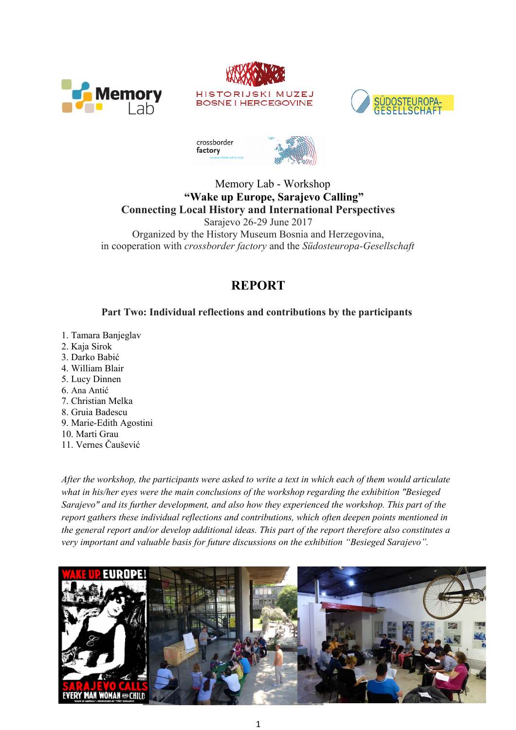







### Memory Lab - Workshop **"Wake up Europe, Sarajevo Calling" Connecting Local History and International Perspectives**

Sarajevo 26-29 June 2017 Organized by the History Museum Bosnia and Herzegovina, in cooperation with *crossborder factory* and the *Südosteuropa-Gesellschaft*

# **REPORT**

# **Part Two: Individual reflections and contributions by the participants**

- 1. Tamara Banjeglav
- 2. Kaja Sirok
- 3. Darko Babić
- 4. William Blair
- 5. Lucy Dinnen
- 6. Ana Antić
- 7. Christian Melka
- 8. Gruia Badescu
- 9. Marie-Edith Agostini
- 10. Marti Grau
- 11. Vernes Čaušević

*After the workshop, the participants were asked to write a text in which each of them would articulate what in his/her eyes were the main conclusions of the workshop regarding the exhibition "Besieged Sarajevo" and its further development, and also how they experienced the workshop. This part of the report gathers these individual reflections and contributions, which often deepen points mentioned in the general report and/or develop additional ideas. This part of the report therefore also constitutes a very important and valuable basis for future discussions on the exhibition "Besieged Sarajevo".* 

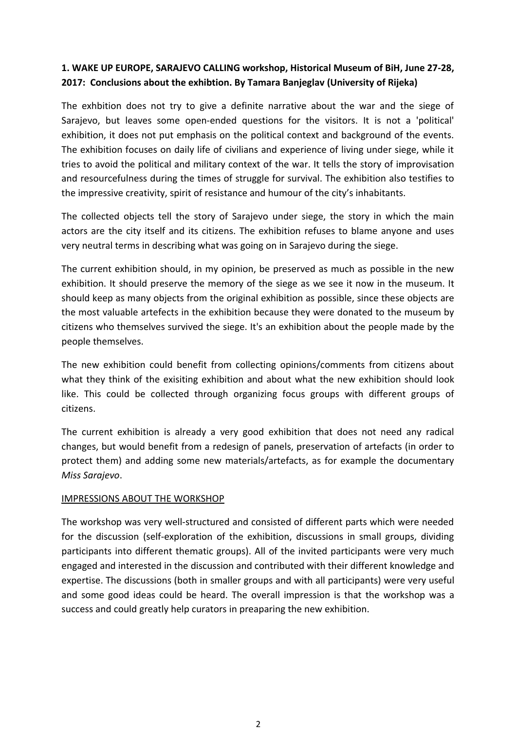### **1. WAKE UP EUROPE, SARAJEVO CALLING workshop, Historical Museum of BiH, June 27-28, 2017: Conclusions about the exhibtion. By Tamara Banjeglav (University of Rijeka)**

The exhbition does not try to give a definite narrative about the war and the siege of Sarajevo, but leaves some open-ended questions for the visitors. It is not a 'political' exhibition, it does not put emphasis on the political context and background of the events. The exhibition focuses on daily life of civilians and experience of living under siege, while it tries to avoid the political and military context of the war. It tells the story of improvisation and resourcefulness during the times of struggle for survival. The exhibition also testifies to the impressive creativity, spirit of resistance and humour of the city's inhabitants.

The collected objects tell the story of Sarajevo under siege, the story in which the main actors are the city itself and its citizens. The exhibition refuses to blame anyone and uses very neutral terms in describing what was going on in Sarajevo during the siege.

The current exhibition should, in my opinion, be preserved as much as possible in the new exhibition. It should preserve the memory of the siege as we see it now in the museum. It should keep as many objects from the original exhibition as possible, since these objects are the most valuable artefects in the exhibition because they were donated to the museum by citizens who themselves survived the siege. It's an exhibition about the people made by the people themselves.

The new exhibition could benefit from collecting opinions/comments from citizens about what they think of the exisiting exhibition and about what the new exhibition should look like. This could be collected through organizing focus groups with different groups of citizens.

The current exhibition is already a very good exhibition that does not need any radical changes, but would benefit from a redesign of panels, preservation of artefacts (in order to protect them) and adding some new materials/artefacts, as for example the documentary *Miss Sarajevo*.

### IMPRESSIONS ABOUT THE WORKSHOP

The workshop was very well-structured and consisted of different parts which were needed for the discussion (self-exploration of the exhibition, discussions in small groups, dividing participants into different thematic groups). All of the invited participants were very much engaged and interested in the discussion and contributed with their different knowledge and expertise. The discussions (both in smaller groups and with all participants) were very useful and some good ideas could be heard. The overall impression is that the workshop was a success and could greatly help curators in preaparing the new exhibition.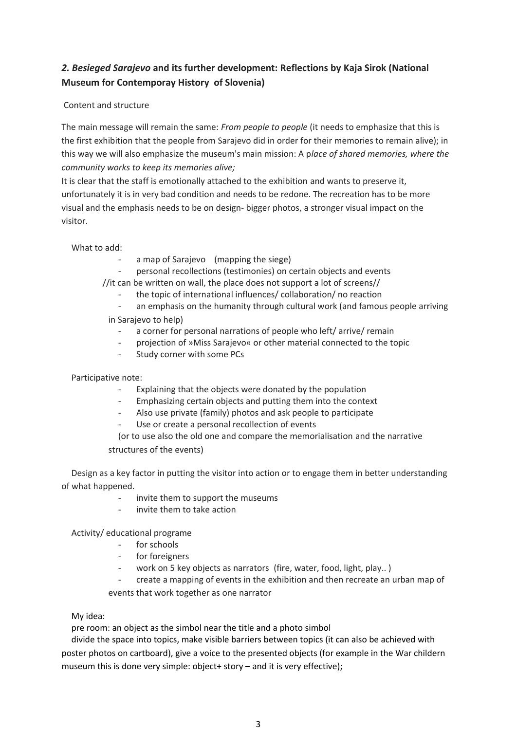# *2. Besieged Sarajevo* **and its further development: Reflections by Kaja Sirok (National Museum for Contemporay History of Slovenia)**

#### Content and structure

The main message will remain the same: *From people to people* (it needs to emphasize that this is the first exhibition that the people from Sarajevo did in order for their memories to remain alive); in this way we will also emphasize the museum's main mission: A p*lace of shared memories, where the community works to keep its memories alive;*

It is clear that the staff is emotionally attached to the exhibition and wants to preserve it, unfortunately it is in very bad condition and needs to be redone. The recreation has to be more visual and the emphasis needs to be on design- bigger photos, a stronger visual impact on the visitor.

What to add:

- a map of Sarajevo (mapping the siege)
- personal recollections (testimonies) on certain objects and events
- //it can be written on wall, the place does not support a lot of screens//
	- the topic of international influences/ collaboration/ no reaction
	- an emphasis on the humanity through cultural work (and famous people arriving

#### in Sarajevo to help)

- a corner for personal narrations of people who left/arrive/ remain
- projection of »Miss Sarajevo« or other material connected to the topic
- Study corner with some PCs

Participative note:

- Explaining that the objects were donated by the population
- Emphasizing certain objects and putting them into the context
- Also use private (family) photos and ask people to participate
- Use or create a personal recollection of events
- (or to use also the old one and compare the memorialisation and the narrative structures of the events)

Design as a key factor in putting the visitor into action or to engage them in better understanding of what happened.

- invite them to support the museums
- invite them to take action

Activity/ educational programe

- for schools
- for foreigners
- work on 5 key objects as narrators (fire, water, food, light, play..)
- create a mapping of events in the exhibition and then recreate an urban map of

events that work together as one narrator

My idea:

pre room: an object as the simbol near the title and a photo simbol

divide the space into topics, make visible barriers between topics (it can also be achieved with poster photos on cartboard), give a voice to the presented objects (for example in the War childern museum this is done very simple: object+ story – and it is very effective);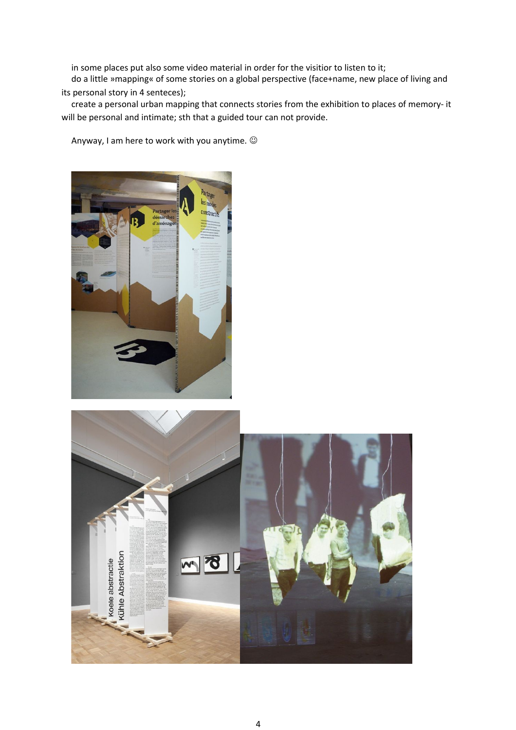in some places put also some video material in order for the visitior to listen to it;

do a little »mapping« of some stories on a global perspective (face+name, new place of living and its personal story in 4 senteces);

create a personal urban mapping that connects stories from the exhibition to places of memory- it will be personal and intimate; sth that a guided tour can not provide.

Anyway, I am here to work with you anytime.



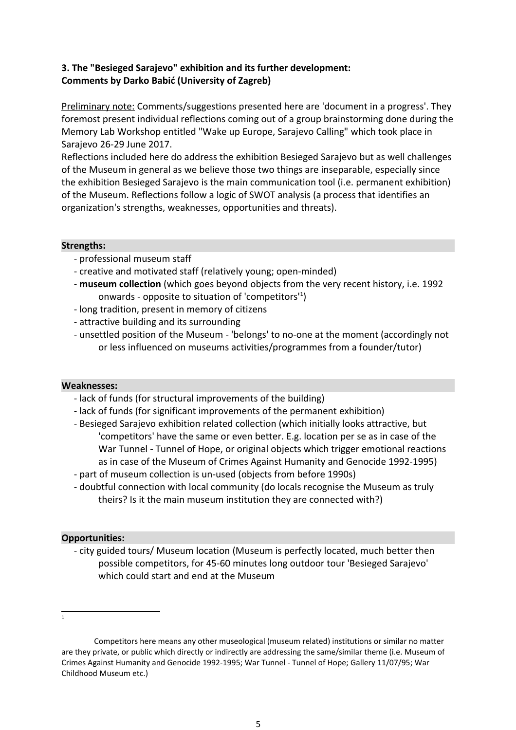### **3. The "Besieged Sarajevo" exhibition and its further development: Comments by Darko Babić (University of Zagreb)**

Preliminary note: Comments/suggestions presented here are 'document in a progress'. They foremost present individual reflections coming out of a group brainstorming done during the Memory Lab Workshop entitled "Wake up Europe, Sarajevo Calling" which took place in Sarajevo 26-29 June 2017.

Reflections included here do address the exhibition Besieged Sarajevo but as well challenges of the Museum in general as we believe those two things are inseparable, especially since the exhibition Besieged Sarajevo is the main communication tool (i.e. permanent exhibition) of the Museum. Reflections follow a logic of SWOT analysis (a process that identifies an organization's strengths, weaknesses, opportunities and threats).

#### **Strengths:**

- professional museum staff
- creative and motivated staff (relatively young; open-minded)
- **museum collection** (which goes beyond objects from the very recent history, i.e. 1992 onwards - opposite to situation of 'competitors'<sup>[1](#page-4-0)</sup>)
- long tradition, present in memory of citizens
- attractive building and its surrounding
- unsettled position of the Museum 'belongs' to no-one at the moment (accordingly not or less influenced on museums activities/programmes from a founder/tutor)

#### **Weaknesses:**

- lack of funds (for structural improvements of the building)
- lack of funds (for significant improvements of the permanent exhibition)
- Besieged Sarajevo exhibition related collection (which initially looks attractive, but 'competitors' have the same or even better. E.g. location per se as in case of the War Tunnel - Tunnel of Hope, or original objects which trigger emotional reactions as in case of the Museum of Crimes Against Humanity and Genocide 1992-1995)
- part of museum collection is un-used (objects from before 1990s)
- doubtful connection with local community (do locals recognise the Museum as truly theirs? Is it the main museum institution they are connected with?)

### **Opportunities:**

- city guided tours/ Museum location (Museum is perfectly located, much better then possible competitors, for 45-60 minutes long outdoor tour 'Besieged Sarajevo' which could start and end at the Museum

<span id="page-4-0"></span>1

Competitors here means any other museological (museum related) institutions or similar no matter are they private, or public which directly or indirectly are addressing the same/similar theme (i.e. Museum of Crimes Against Humanity and Genocide 1992-1995; War Tunnel - Tunnel of Hope; Gallery 11/07/95; War Childhood Museum etc.)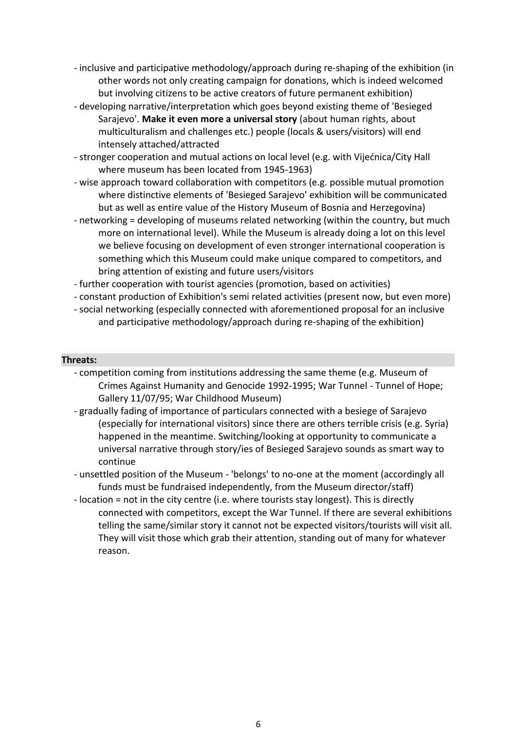- inclusive and participative methodology/approach during re-shaping of the exhibition (in other words not only creating campaign for donations, which is indeed welcomed but involving citizens to be active creators of future permanent exhibition)
- developing narrative/interpretation which goes beyond existing theme of 'Besieged Sarajevo'. **Make it even more a universal story** (about human rights, about multiculturalism and challenges etc.) people (locals & users/visitors) will end intensely attached/attracted
- stronger cooperation and mutual actions on local level (e.g. with Vijećnica/City Hall where museum has been located from 1945-1963)
- wise approach toward collaboration with competitors (e.g. possible mutual promotion where distinctive elements of 'Besieged Sarajevo' exhibition will be communicated but as well as entire value of the History Museum of Bosnia and Herzegovina)
- networking = developing of museums related networking (within the country, but much more on international level). While the Museum is already doing a lot on this level we believe focusing on development of even stronger international cooperation is something which this Museum could make unique compared to competitors, and bring attention of existing and future users/visitors
- further cooperation with tourist agencies (promotion, based on activities)
- constant production of Exhibition's semi related activities (present now, but even more)
- social networking (especially connected with aforementioned proposal for an inclusive and participative methodology/approach during re-shaping of the exhibition)

#### **Threats:**

- competition coming from institutions addressing the same theme (e.g. Museum of Crimes Against Humanity and Genocide 1992-1995; War Tunnel - Tunnel of Hope; Gallery 11/07/95; War Childhood Museum)
- gradually fading of importance of particulars connected with a besiege of Sarajevo (especially for international visitors) since there are others terrible crisis (e.g. Syria) happened in the meantime. Switching/looking at opportunity to communicate a universal narrative through story/ies of Besieged Sarajevo sounds as smart way to continue
- unsettled position of the Museum 'belongs' to no-one at the moment (accordingly all funds must be fundraised independently, from the Museum director/staff)
- location = not in the city centre (i.e. where tourists stay longest). This is directly connected with competitors, except the War Tunnel. If there are several exhibitions telling the same/similar story it cannot not be expected visitors/tourists will visit all. They will visit those which grab their attention, standing out of many for whatever reason.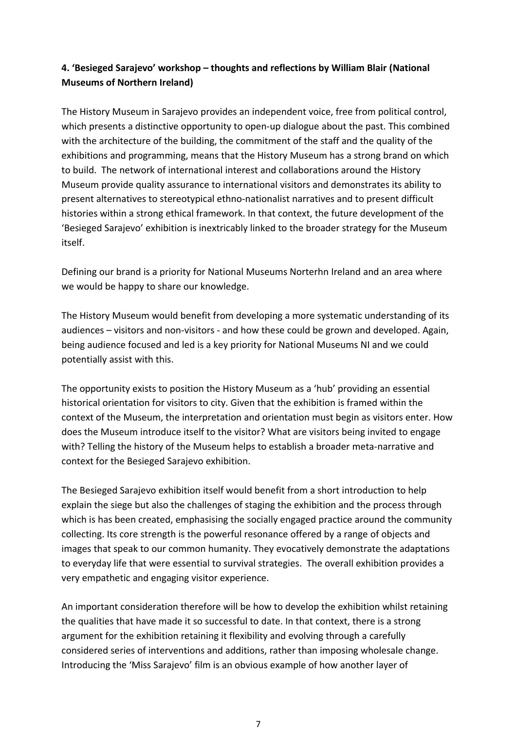# **4. 'Besieged Sarajevo' workshop – thoughts and reflections by William Blair (National Museums of Northern Ireland)**

The History Museum in Sarajevo provides an independent voice, free from political control, which presents a distinctive opportunity to open-up dialogue about the past. This combined with the architecture of the building, the commitment of the staff and the quality of the exhibitions and programming, means that the History Museum has a strong brand on which to build. The network of international interest and collaborations around the History Museum provide quality assurance to international visitors and demonstrates its ability to present alternatives to stereotypical ethno-nationalist narratives and to present difficult histories within a strong ethical framework. In that context, the future development of the 'Besieged Sarajevo' exhibition is inextricably linked to the broader strategy for the Museum itself.

Defining our brand is a priority for National Museums Norterhn Ireland and an area where we would be happy to share our knowledge.

The History Museum would benefit from developing a more systematic understanding of its audiences – visitors and non-visitors - and how these could be grown and developed. Again, being audience focused and led is a key priority for National Museums NI and we could potentially assist with this.

The opportunity exists to position the History Museum as a 'hub' providing an essential historical orientation for visitors to city. Given that the exhibition is framed within the context of the Museum, the interpretation and orientation must begin as visitors enter. How does the Museum introduce itself to the visitor? What are visitors being invited to engage with? Telling the history of the Museum helps to establish a broader meta-narrative and context for the Besieged Sarajevo exhibition.

The Besieged Sarajevo exhibition itself would benefit from a short introduction to help explain the siege but also the challenges of staging the exhibition and the process through which is has been created, emphasising the socially engaged practice around the community collecting. Its core strength is the powerful resonance offered by a range of objects and images that speak to our common humanity. They evocatively demonstrate the adaptations to everyday life that were essential to survival strategies. The overall exhibition provides a very empathetic and engaging visitor experience.

An important consideration therefore will be how to develop the exhibition whilst retaining the qualities that have made it so successful to date. In that context, there is a strong argument for the exhibition retaining it flexibility and evolving through a carefully considered series of interventions and additions, rather than imposing wholesale change. Introducing the 'Miss Sarajevo' film is an obvious example of how another layer of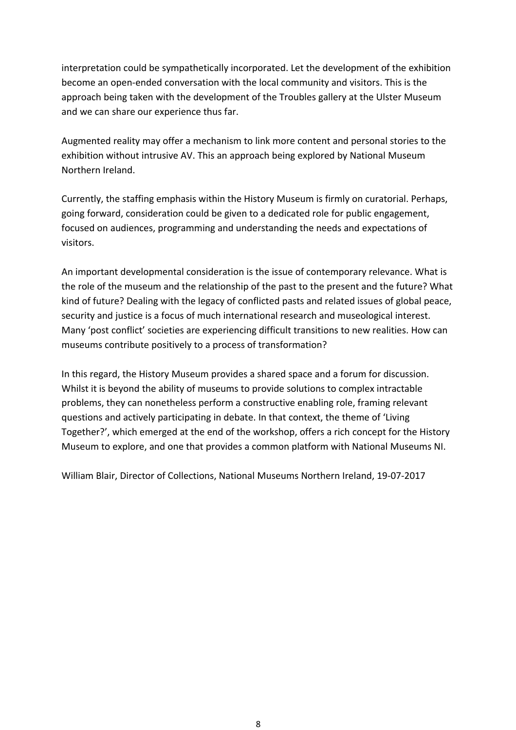interpretation could be sympathetically incorporated. Let the development of the exhibition become an open-ended conversation with the local community and visitors. This is the approach being taken with the development of the Troubles gallery at the Ulster Museum and we can share our experience thus far.

Augmented reality may offer a mechanism to link more content and personal stories to the exhibition without intrusive AV. This an approach being explored by National Museum Northern Ireland.

Currently, the staffing emphasis within the History Museum is firmly on curatorial. Perhaps, going forward, consideration could be given to a dedicated role for public engagement, focused on audiences, programming and understanding the needs and expectations of visitors.

An important developmental consideration is the issue of contemporary relevance. What is the role of the museum and the relationship of the past to the present and the future? What kind of future? Dealing with the legacy of conflicted pasts and related issues of global peace, security and justice is a focus of much international research and museological interest. Many 'post conflict' societies are experiencing difficult transitions to new realities. How can museums contribute positively to a process of transformation?

In this regard, the History Museum provides a shared space and a forum for discussion. Whilst it is beyond the ability of museums to provide solutions to complex intractable problems, they can nonetheless perform a constructive enabling role, framing relevant questions and actively participating in debate. In that context, the theme of 'Living Together?', which emerged at the end of the workshop, offers a rich concept for the History Museum to explore, and one that provides a common platform with National Museums NI.

William Blair, Director of Collections, National Museums Northern Ireland, 19-07-2017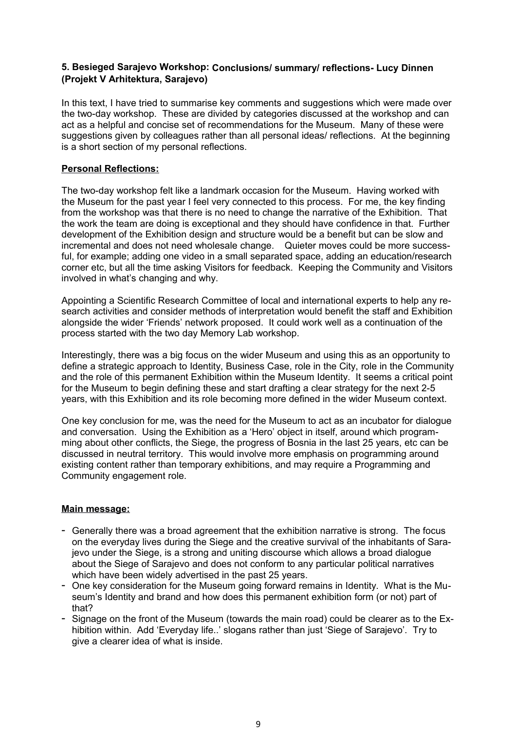#### **5. Besieged Sarajevo Workshop: Conclusions/ summary/ reflections- Lucy Dinnen (Projekt V Arhitektura, Sarajevo)**

In this text, I have tried to summarise key comments and suggestions which were made over the two-day workshop. These are divided by categories discussed at the workshop and can act as a helpful and concise set of recommendations for the Museum. Many of these were suggestions given by colleagues rather than all personal ideas/ reflections. At the beginning is a short section of my personal reflections.

#### **Personal Reflections:**

The two-day workshop felt like a landmark occasion for the Museum. Having worked with the Museum for the past year I feel very connected to this process. For me, the key finding from the workshop was that there is no need to change the narrative of the Exhibition. That the work the team are doing is exceptional and they should have confidence in that. Further development of the Exhibition design and structure would be a benefit but can be slow and incremental and does not need wholesale change. Quieter moves could be more successful, for example; adding one video in a small separated space, adding an education/research corner etc, but all the time asking Visitors for feedback. Keeping the Community and Visitors involved in what's changing and why.

Appointing a Scientific Research Committee of local and international experts to help any research activities and consider methods of interpretation would benefit the staff and Exhibition alongside the wider 'Friends' network proposed. It could work well as a continuation of the process started with the two day Memory Lab workshop.

Interestingly, there was a big focus on the wider Museum and using this as an opportunity to define a strategic approach to Identity, Business Case, role in the City, role in the Community and the role of this permanent Exhibition within the Museum Identity. It seems a critical point for the Museum to begin defining these and start drafting a clear strategy for the next 2-5 years, with this Exhibition and its role becoming more defined in the wider Museum context.

One key conclusion for me, was the need for the Museum to act as an incubator for dialogue and conversation. Using the Exhibition as a 'Hero' object in itself, around which programming about other conflicts, the Siege, the progress of Bosnia in the last 25 years, etc can be discussed in neutral territory. This would involve more emphasis on programming around existing content rather than temporary exhibitions, and may require a Programming and Community engagement role.

#### **Main message:**

- Generally there was a broad agreement that the exhibition narrative is strong. The focus on the everyday lives during the Siege and the creative survival of the inhabitants of Sarajevo under the Siege, is a strong and uniting discourse which allows a broad dialogue about the Siege of Sarajevo and does not conform to any particular political narratives which have been widely advertised in the past 25 years.
- One key consideration for the Museum going forward remains in Identity. What is the Museum's Identity and brand and how does this permanent exhibition form (or not) part of that?
- Signage on the front of the Museum (towards the main road) could be clearer as to the Exhibition within. Add 'Everyday life..' slogans rather than just 'Siege of Sarajevo'. Try to give a clearer idea of what is inside.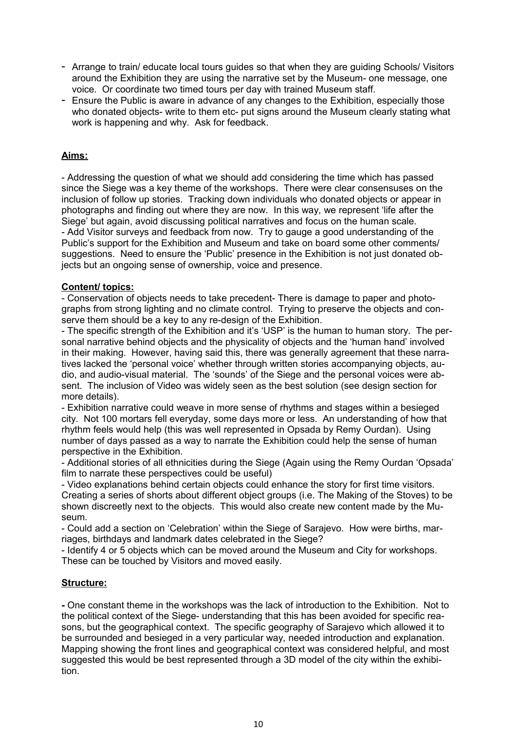- Arrange to train/ educate local tours guides so that when they are guiding Schools/ Visitors around the Exhibition they are using the narrative set by the Museum- one message, one voice. Or coordinate two timed tours per day with trained Museum staff.
- Ensure the Public is aware in advance of any changes to the Exhibition, especially those who donated objects- write to them etc- put signs around the Museum clearly stating what work is happening and why. Ask for feedback.

### **Aims:**

- Addressing the question of what we should add considering the time which has passed since the Siege was a key theme of the workshops. There were clear consensuses on the inclusion of follow up stories. Tracking down individuals who donated objects or appear in photographs and finding out where they are now. In this way, we represent 'life after the Siege' but again, avoid discussing political narratives and focus on the human scale. - Add Visitor surveys and feedback from now. Try to gauge a good understanding of the Public's support for the Exhibition and Museum and take on board some other comments/ suggestions. Need to ensure the 'Public' presence in the Exhibition is not just donated objects but an ongoing sense of ownership, voice and presence.

#### **Content/ topics:**

- Conservation of objects needs to take precedent- There is damage to paper and photographs from strong lighting and no climate control. Trying to preserve the objects and conserve them should be a key to any re-design of the Exhibition.

- The specific strength of the Exhibition and it's 'USP' is the human to human story. The personal narrative behind objects and the physicality of objects and the 'human hand' involved in their making. However, having said this, there was generally agreement that these narratives lacked the 'personal voice' whether through written stories accompanying objects, audio, and audio-visual material. The 'sounds' of the Siege and the personal voices were absent. The inclusion of Video was widely seen as the best solution (see design section for more details).

- Exhibition narrative could weave in more sense of rhythms and stages within a besieged city. Not 100 mortars fell everyday, some days more or less. An understanding of how that rhythm feels would help (this was well represented in Opsada by Remy Ourdan). Using number of days passed as a way to narrate the Exhibition could help the sense of human perspective in the Exhibition.

- Additional stories of all ethnicities during the Siege (Again using the Remy Ourdan 'Opsada' film to narrate these perspectives could be useful)

- Video explanations behind certain objects could enhance the story for first time visitors. Creating a series of shorts about different object groups (i.e. The Making of the Stoves) to be shown discreetly next to the objects. This would also create new content made by the Museum.

- Could add a section on 'Celebration' within the Siege of Sarajevo. How were births, marriages, birthdays and landmark dates celebrated in the Siege?

- Identify 4 or 5 objects which can be moved around the Museum and City for workshops. These can be touched by Visitors and moved easily.

#### **Structure:**

**-** One constant theme in the workshops was the lack of introduction to the Exhibition. Not to the political context of the Siege- understanding that this has been avoided for specific reasons, but the geographical context. The specific geography of Sarajevo which allowed it to be surrounded and besieged in a very particular way, needed introduction and explanation. Mapping showing the front lines and geographical context was considered helpful, and most suggested this would be best represented through a 3D model of the city within the exhibition.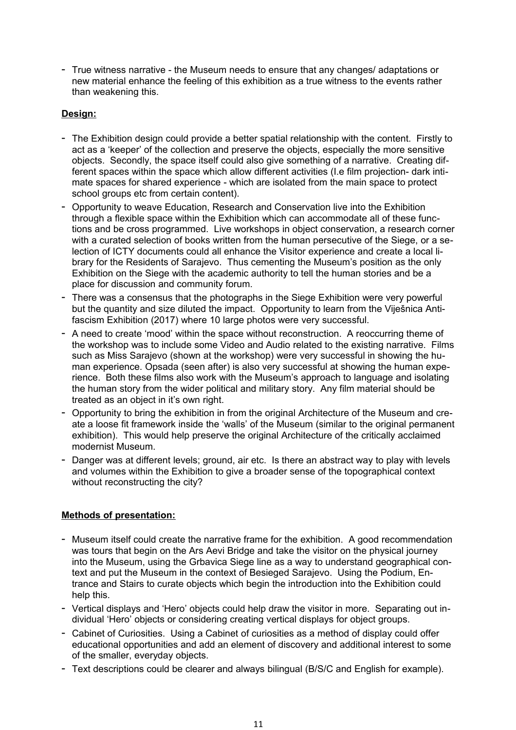- True witness narrative - the Museum needs to ensure that any changes/ adaptations or new material enhance the feeling of this exhibition as a true witness to the events rather than weakening this.

#### **Design:**

- The Exhibition design could provide a better spatial relationship with the content. Firstly to act as a 'keeper' of the collection and preserve the objects, especially the more sensitive objects. Secondly, the space itself could also give something of a narrative. Creating different spaces within the space which allow different activities (I.e film projection- dark intimate spaces for shared experience - which are isolated from the main space to protect school groups etc from certain content).
- Opportunity to weave Education, Research and Conservation live into the Exhibition through a flexible space within the Exhibition which can accommodate all of these functions and be cross programmed. Live workshops in object conservation, a research corner with a curated selection of books written from the human persecutive of the Siege, or a selection of ICTY documents could all enhance the Visitor experience and create a local library for the Residents of Sarajevo. Thus cementing the Museum's position as the only Exhibition on the Siege with the academic authority to tell the human stories and be a place for discussion and community forum.
- There was a consensus that the photographs in the Siege Exhibition were very powerful but the quantity and size diluted the impact. Opportunity to learn from the Viješnica Antifascism Exhibition (2017) where 10 large photos were very successful.
- A need to create 'mood' within the space without reconstruction. A reoccurring theme of the workshop was to include some Video and Audio related to the existing narrative. Films such as Miss Sarajevo (shown at the workshop) were very successful in showing the human experience. Opsada (seen after) is also very successful at showing the human experience. Both these films also work with the Museum's approach to language and isolating the human story from the wider political and military story. Any film material should be treated as an object in it's own right.
- Opportunity to bring the exhibition in from the original Architecture of the Museum and create a loose fit framework inside the 'walls' of the Museum (similar to the original permanent exhibition). This would help preserve the original Architecture of the critically acclaimed modernist Museum.
- Danger was at different levels; ground, air etc. Is there an abstract way to play with levels and volumes within the Exhibition to give a broader sense of the topographical context without reconstructing the city?

### **Methods of presentation:**

- Museum itself could create the narrative frame for the exhibition. A good recommendation was tours that begin on the Ars Aevi Bridge and take the visitor on the physical journey into the Museum, using the Grbavica Siege line as a way to understand geographical context and put the Museum in the context of Besieged Sarajevo. Using the Podium, Entrance and Stairs to curate objects which begin the introduction into the Exhibition could help this.
- Vertical displays and 'Hero' objects could help draw the visitor in more. Separating out individual 'Hero' objects or considering creating vertical displays for object groups.
- Cabinet of Curiosities. Using a Cabinet of curiosities as a method of display could offer educational opportunities and add an element of discovery and additional interest to some of the smaller, everyday objects.
- Text descriptions could be clearer and always bilingual (B/S/C and English for example).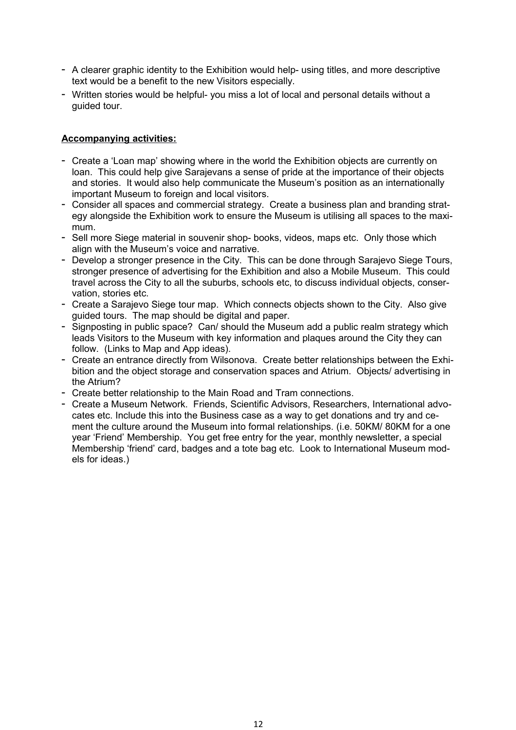- A clearer graphic identity to the Exhibition would help- using titles, and more descriptive text would be a benefit to the new Visitors especially.
- Written stories would be helpful- you miss a lot of local and personal details without a guided tour.

#### **Accompanying activities:**

- Create a 'Loan map' showing where in the world the Exhibition objects are currently on loan. This could help give Sarajevans a sense of pride at the importance of their objects and stories. It would also help communicate the Museum's position as an internationally important Museum to foreign and local visitors.
- Consider all spaces and commercial strategy. Create a business plan and branding strategy alongside the Exhibition work to ensure the Museum is utilising all spaces to the maximum.
- Sell more Siege material in souvenir shop- books, videos, maps etc. Only those which align with the Museum's voice and narrative.
- Develop a stronger presence in the City. This can be done through Sarajevo Siege Tours, stronger presence of advertising for the Exhibition and also a Mobile Museum. This could travel across the City to all the suburbs, schools etc, to discuss individual objects, conservation, stories etc.
- Create a Sarajevo Siege tour map. Which connects objects shown to the City. Also give guided tours. The map should be digital and paper.
- Signposting in public space? Can/ should the Museum add a public realm strategy which leads Visitors to the Museum with key information and plaques around the City they can follow. (Links to Map and App ideas).
- Create an entrance directly from Wilsonova. Create better relationships between the Exhibition and the object storage and conservation spaces and Atrium. Objects/ advertising in the Atrium?
- Create better relationship to the Main Road and Tram connections.
- Create a Museum Network. Friends, Scientific Advisors, Researchers, International advocates etc. Include this into the Business case as a way to get donations and try and cement the culture around the Museum into formal relationships. (i.e. 50KM/ 80KM for a one year 'Friend' Membership. You get free entry for the year, monthly newsletter, a special Membership 'friend' card, badges and a tote bag etc. Look to International Museum models for ideas.)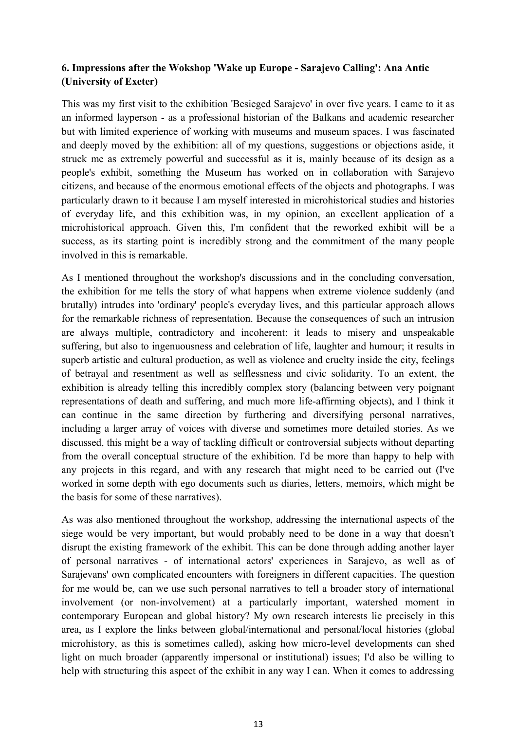# **6. Impressions after the Wokshop 'Wake up Europe - Sarajevo Calling': Ana Antic (University of Exeter)**

This was my first visit to the exhibition 'Besieged Sarajevo' in over five years. I came to it as an informed layperson - as a professional historian of the Balkans and academic researcher but with limited experience of working with museums and museum spaces. I was fascinated and deeply moved by the exhibition: all of my questions, suggestions or objections aside, it struck me as extremely powerful and successful as it is, mainly because of its design as a people's exhibit, something the Museum has worked on in collaboration with Sarajevo citizens, and because of the enormous emotional effects of the objects and photographs. I was particularly drawn to it because I am myself interested in microhistorical studies and histories of everyday life, and this exhibition was, in my opinion, an excellent application of a microhistorical approach. Given this, I'm confident that the reworked exhibit will be a success, as its starting point is incredibly strong and the commitment of the many people involved in this is remarkable.

As I mentioned throughout the workshop's discussions and in the concluding conversation, the exhibition for me tells the story of what happens when extreme violence suddenly (and brutally) intrudes into 'ordinary' people's everyday lives, and this particular approach allows for the remarkable richness of representation. Because the consequences of such an intrusion are always multiple, contradictory and incoherent: it leads to misery and unspeakable suffering, but also to ingenuousness and celebration of life, laughter and humour; it results in superb artistic and cultural production, as well as violence and cruelty inside the city, feelings of betrayal and resentment as well as selflessness and civic solidarity. To an extent, the exhibition is already telling this incredibly complex story (balancing between very poignant representations of death and suffering, and much more life-affirming objects), and I think it can continue in the same direction by furthering and diversifying personal narratives, including a larger array of voices with diverse and sometimes more detailed stories. As we discussed, this might be a way of tackling difficult or controversial subjects without departing from the overall conceptual structure of the exhibition. I'd be more than happy to help with any projects in this regard, and with any research that might need to be carried out (I've worked in some depth with ego documents such as diaries, letters, memoirs, which might be the basis for some of these narratives).

As was also mentioned throughout the workshop, addressing the international aspects of the siege would be very important, but would probably need to be done in a way that doesn't disrupt the existing framework of the exhibit. This can be done through adding another layer of personal narratives - of international actors' experiences in Sarajevo, as well as of Sarajevans' own complicated encounters with foreigners in different capacities. The question for me would be, can we use such personal narratives to tell a broader story of international involvement (or non-involvement) at a particularly important, watershed moment in contemporary European and global history? My own research interests lie precisely in this area, as I explore the links between global/international and personal/local histories (global microhistory, as this is sometimes called), asking how micro-level developments can shed light on much broader (apparently impersonal or institutional) issues; I'd also be willing to help with structuring this aspect of the exhibit in any way I can. When it comes to addressing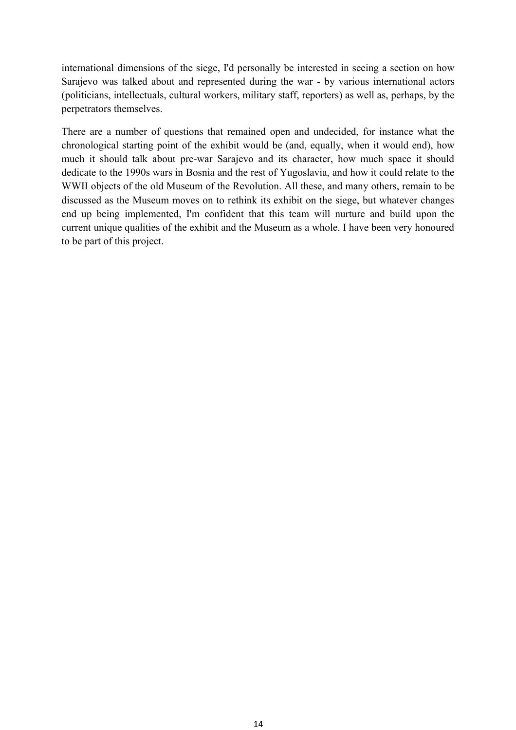international dimensions of the siege, I'd personally be interested in seeing a section on how Sarajevo was talked about and represented during the war - by various international actors (politicians, intellectuals, cultural workers, military staff, reporters) as well as, perhaps, by the perpetrators themselves.

There are a number of questions that remained open and undecided, for instance what the chronological starting point of the exhibit would be (and, equally, when it would end), how much it should talk about pre-war Sarajevo and its character, how much space it should dedicate to the 1990s wars in Bosnia and the rest of Yugoslavia, and how it could relate to the WWII objects of the old Museum of the Revolution. All these, and many others, remain to be discussed as the Museum moves on to rethink its exhibit on the siege, but whatever changes end up being implemented, I'm confident that this team will nurture and build upon the current unique qualities of the exhibit and the Museum as a whole. I have been very honoured to be part of this project.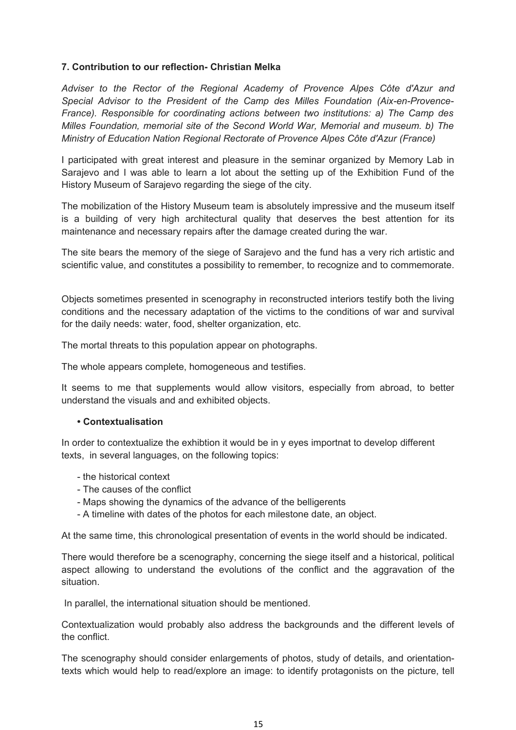#### **7. Contribution to our reflection- Christian Melka**

*Adviser to the Rector of the Regional Academy of Provence Alpes Côte d'Azur and Special Advisor to the President of the Camp des Milles Foundation (Aix-en-Provence-France). Responsible for coordinating actions between two institutions: a) The Camp des Milles Foundation, memorial site of the Second World War, Memorial and museum. b) The Ministry of Education Nation Regional Rectorate of Provence Alpes Côte d'Azur (France)*

I participated with great interest and pleasure in the seminar organized by Memory Lab in Sarajevo and I was able to learn a lot about the setting up of the Exhibition Fund of the History Museum of Sarajevo regarding the siege of the city.

The mobilization of the History Museum team is absolutely impressive and the museum itself is a building of very high architectural quality that deserves the best attention for its maintenance and necessary repairs after the damage created during the war.

The site bears the memory of the siege of Sarajevo and the fund has a very rich artistic and scientific value, and constitutes a possibility to remember, to recognize and to commemorate.

Objects sometimes presented in scenography in reconstructed interiors testify both the living conditions and the necessary adaptation of the victims to the conditions of war and survival for the daily needs: water, food, shelter organization, etc.

The mortal threats to this population appear on photographs.

The whole appears complete, homogeneous and testifies.

It seems to me that supplements would allow visitors, especially from abroad, to better understand the visuals and and exhibited objects.

#### **• Contextualisation**

In order to contextualize the exhibtion it would be in y eyes importnat to develop different texts, in several languages, on the following topics:

- the historical context
- The causes of the conflict
- Maps showing the dynamics of the advance of the belligerents
- A timeline with dates of the photos for each milestone date, an object.

At the same time, this chronological presentation of events in the world should be indicated.

There would therefore be a scenography, concerning the siege itself and a historical, political aspect allowing to understand the evolutions of the conflict and the aggravation of the situation.

In parallel, the international situation should be mentioned.

Contextualization would probably also address the backgrounds and the different levels of the conflict.

The scenography should consider enlargements of photos, study of details, and orientationtexts which would help to read/explore an image: to identify protagonists on the picture, tell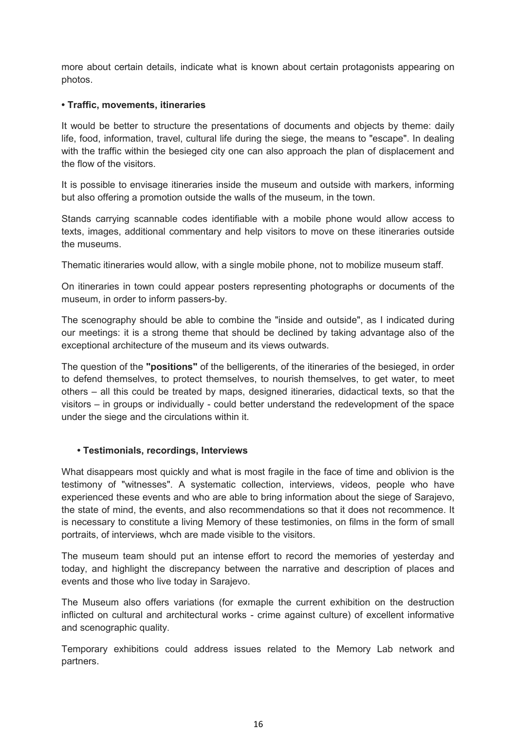more about certain details, indicate what is known about certain protagonists appearing on photos.

#### **• Traffic, movements, itineraries**

It would be better to structure the presentations of documents and objects by theme: daily life, food, information, travel, cultural life during the siege, the means to "escape". In dealing with the traffic within the besieged city one can also approach the plan of displacement and the flow of the visitors.

It is possible to envisage itineraries inside the museum and outside with markers, informing but also offering a promotion outside the walls of the museum, in the town.

Stands carrying scannable codes identifiable with a mobile phone would allow access to texts, images, additional commentary and help visitors to move on these itineraries outside the museums.

Thematic itineraries would allow, with a single mobile phone, not to mobilize museum staff.

On itineraries in town could appear posters representing photographs or documents of the museum, in order to inform passers-by.

The scenography should be able to combine the "inside and outside", as I indicated during our meetings: it is a strong theme that should be declined by taking advantage also of the exceptional architecture of the museum and its views outwards.

The question of the **"positions"** of the belligerents, of the itineraries of the besieged, in order to defend themselves, to protect themselves, to nourish themselves, to get water, to meet others – all this could be treated by maps, designed itineraries, didactical texts, so that the visitors – in groups or individually - could better understand the redevelopment of the space under the siege and the circulations within it.

#### **• Testimonials, recordings, Interviews**

What disappears most quickly and what is most fragile in the face of time and oblivion is the testimony of "witnesses". A systematic collection, interviews, videos, people who have experienced these events and who are able to bring information about the siege of Sarajevo, the state of mind, the events, and also recommendations so that it does not recommence. It is necessary to constitute a living Memory of these testimonies, on films in the form of small portraits, of interviews, whch are made visible to the visitors.

The museum team should put an intense effort to record the memories of yesterday and today, and highlight the discrepancy between the narrative and description of places and events and those who live today in Sarajevo.

The Museum also offers variations (for exmaple the current exhibition on the destruction inflicted on cultural and architectural works - crime against culture) of excellent informative and scenographic quality.

Temporary exhibitions could address issues related to the Memory Lab network and partners.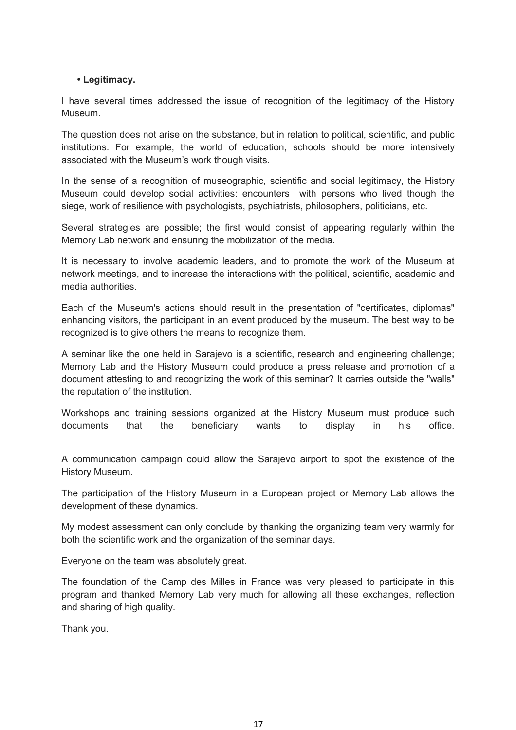#### **• Legitimacy.**

I have several times addressed the issue of recognition of the legitimacy of the History Museum.

The question does not arise on the substance, but in relation to political, scientific, and public institutions. For example, the world of education, schools should be more intensively associated with the Museum's work though visits.

In the sense of a recognition of museographic, scientific and social legitimacy, the History Museum could develop social activities: encounters with persons who lived though the siege, work of resilience with psychologists, psychiatrists, philosophers, politicians, etc.

Several strategies are possible; the first would consist of appearing regularly within the Memory Lab network and ensuring the mobilization of the media.

It is necessary to involve academic leaders, and to promote the work of the Museum at network meetings, and to increase the interactions with the political, scientific, academic and media authorities.

Each of the Museum's actions should result in the presentation of "certificates, diplomas" enhancing visitors, the participant in an event produced by the museum. The best way to be recognized is to give others the means to recognize them.

A seminar like the one held in Sarajevo is a scientific, research and engineering challenge; Memory Lab and the History Museum could produce a press release and promotion of a document attesting to and recognizing the work of this seminar? It carries outside the "walls" the reputation of the institution.

Workshops and training sessions organized at the History Museum must produce such documents that the beneficiary wants to display in his office.

A communication campaign could allow the Sarajevo airport to spot the existence of the History Museum.

The participation of the History Museum in a European project or Memory Lab allows the development of these dynamics.

My modest assessment can only conclude by thanking the organizing team very warmly for both the scientific work and the organization of the seminar days.

Everyone on the team was absolutely great.

The foundation of the Camp des Milles in France was very pleased to participate in this program and thanked Memory Lab very much for allowing all these exchanges, reflection and sharing of high quality.

Thank you.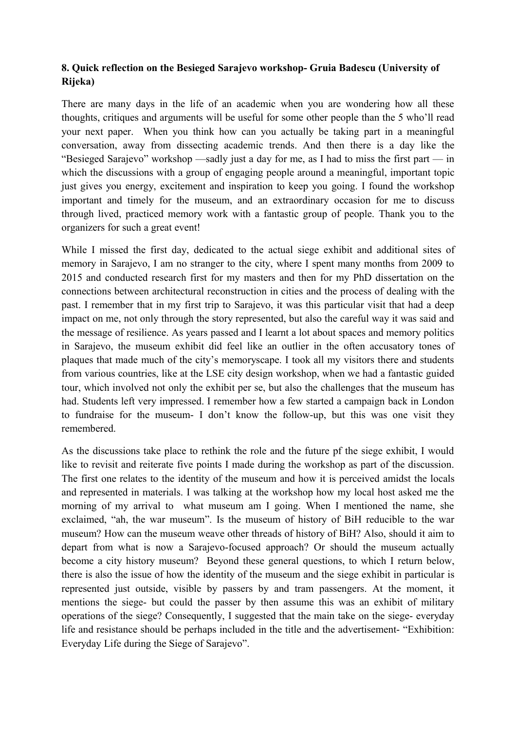# **8. Quick reflection on the Besieged Sarajevo workshop- Gruia Badescu (University of Rijeka)**

There are many days in the life of an academic when you are wondering how all these thoughts, critiques and arguments will be useful for some other people than the 5 who'll read your next paper. When you think how can you actually be taking part in a meaningful conversation, away from dissecting academic trends. And then there is a day like the "Besieged Sarajevo" workshop —sadly just a day for me, as I had to miss the first part — in which the discussions with a group of engaging people around a meaningful, important topic just gives you energy, excitement and inspiration to keep you going. I found the workshop important and timely for the museum, and an extraordinary occasion for me to discuss through lived, practiced memory work with a fantastic group of people. Thank you to the organizers for such a great event!

While I missed the first day, dedicated to the actual siege exhibit and additional sites of memory in Sarajevo, I am no stranger to the city, where I spent many months from 2009 to 2015 and conducted research first for my masters and then for my PhD dissertation on the connections between architectural reconstruction in cities and the process of dealing with the past. I remember that in my first trip to Sarajevo, it was this particular visit that had a deep impact on me, not only through the story represented, but also the careful way it was said and the message of resilience. As years passed and I learnt a lot about spaces and memory politics in Sarajevo, the museum exhibit did feel like an outlier in the often accusatory tones of plaques that made much of the city's memoryscape. I took all my visitors there and students from various countries, like at the LSE city design workshop, when we had a fantastic guided tour, which involved not only the exhibit per se, but also the challenges that the museum has had. Students left very impressed. I remember how a few started a campaign back in London to fundraise for the museum- I don't know the follow-up, but this was one visit they remembered.

As the discussions take place to rethink the role and the future pf the siege exhibit, I would like to revisit and reiterate five points I made during the workshop as part of the discussion. The first one relates to the identity of the museum and how it is perceived amidst the locals and represented in materials. I was talking at the workshop how my local host asked me the morning of my arrival to what museum am I going. When I mentioned the name, she exclaimed, "ah, the war museum". Is the museum of history of BiH reducible to the war museum? How can the museum weave other threads of history of BiH? Also, should it aim to depart from what is now a Sarajevo-focused approach? Or should the museum actually become a city history museum? Beyond these general questions, to which I return below, there is also the issue of how the identity of the museum and the siege exhibit in particular is represented just outside, visible by passers by and tram passengers. At the moment, it mentions the siege- but could the passer by then assume this was an exhibit of military operations of the siege? Consequently, I suggested that the main take on the siege- everyday life and resistance should be perhaps included in the title and the advertisement- "Exhibition: Everyday Life during the Siege of Sarajevo".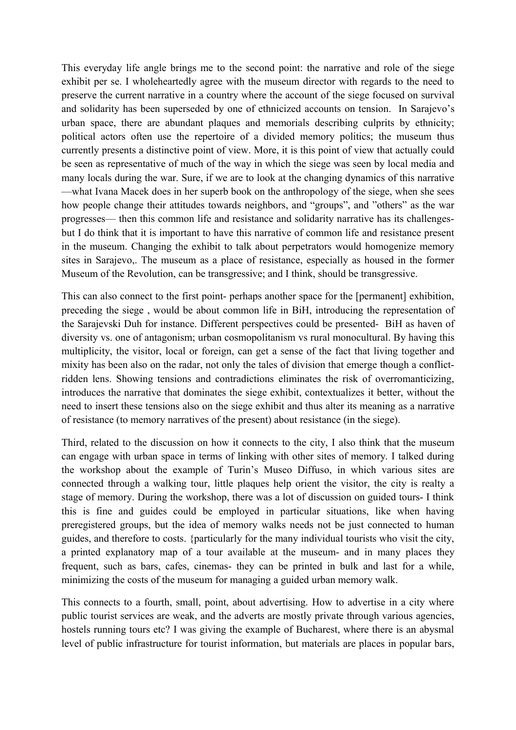This everyday life angle brings me to the second point: the narrative and role of the siege exhibit per se. I wholeheartedly agree with the museum director with regards to the need to preserve the current narrative in a country where the account of the siege focused on survival and solidarity has been superseded by one of ethnicized accounts on tension. In Sarajevo's urban space, there are abundant plaques and memorials describing culprits by ethnicity; political actors often use the repertoire of a divided memory politics; the museum thus currently presents a distinctive point of view. More, it is this point of view that actually could be seen as representative of much of the way in which the siege was seen by local media and many locals during the war. Sure, if we are to look at the changing dynamics of this narrative —what Ivana Macek does in her superb book on the anthropology of the siege, when she sees how people change their attitudes towards neighbors, and "groups", and "others" as the war progresses— then this common life and resistance and solidarity narrative has its challengesbut I do think that it is important to have this narrative of common life and resistance present in the museum. Changing the exhibit to talk about perpetrators would homogenize memory sites in Sarajevo,. The museum as a place of resistance, especially as housed in the former Museum of the Revolution, can be transgressive; and I think, should be transgressive.

This can also connect to the first point- perhaps another space for the [permanent] exhibition, preceding the siege , would be about common life in BiH, introducing the representation of the Sarajevski Duh for instance. Different perspectives could be presented- BiH as haven of diversity vs. one of antagonism; urban cosmopolitanism vs rural monocultural. By having this multiplicity, the visitor, local or foreign, can get a sense of the fact that living together and mixity has been also on the radar, not only the tales of division that emerge though a conflictridden lens. Showing tensions and contradictions eliminates the risk of overromanticizing, introduces the narrative that dominates the siege exhibit, contextualizes it better, without the need to insert these tensions also on the siege exhibit and thus alter its meaning as a narrative of resistance (to memory narratives of the present) about resistance (in the siege).

Third, related to the discussion on how it connects to the city, I also think that the museum can engage with urban space in terms of linking with other sites of memory. I talked during the workshop about the example of Turin's Museo Diffuso, in which various sites are connected through a walking tour, little plaques help orient the visitor, the city is realty a stage of memory. During the workshop, there was a lot of discussion on guided tours- I think this is fine and guides could be employed in particular situations, like when having preregistered groups, but the idea of memory walks needs not be just connected to human guides, and therefore to costs. {particularly for the many individual tourists who visit the city, a printed explanatory map of a tour available at the museum- and in many places they frequent, such as bars, cafes, cinemas- they can be printed in bulk and last for a while, minimizing the costs of the museum for managing a guided urban memory walk.

This connects to a fourth, small, point, about advertising. How to advertise in a city where public tourist services are weak, and the adverts are mostly private through various agencies, hostels running tours etc? I was giving the example of Bucharest, where there is an abysmal level of public infrastructure for tourist information, but materials are places in popular bars,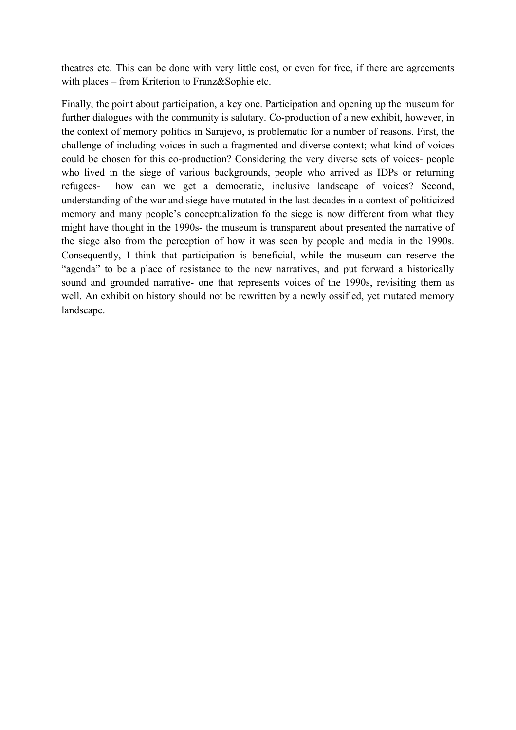theatres etc. This can be done with very little cost, or even for free, if there are agreements with places – from Kriterion to Franz&Sophie etc.

Finally, the point about participation, a key one. Participation and opening up the museum for further dialogues with the community is salutary. Co-production of a new exhibit, however, in the context of memory politics in Sarajevo, is problematic for a number of reasons. First, the challenge of including voices in such a fragmented and diverse context; what kind of voices could be chosen for this co-production? Considering the very diverse sets of voices- people who lived in the siege of various backgrounds, people who arrived as IDPs or returning refugees- how can we get a democratic, inclusive landscape of voices? Second, understanding of the war and siege have mutated in the last decades in a context of politicized memory and many people's conceptualization fo the siege is now different from what they might have thought in the 1990s- the museum is transparent about presented the narrative of the siege also from the perception of how it was seen by people and media in the 1990s. Consequently, I think that participation is beneficial, while the museum can reserve the "agenda" to be a place of resistance to the new narratives, and put forward a historically sound and grounded narrative- one that represents voices of the 1990s, revisiting them as well. An exhibit on history should not be rewritten by a newly ossified, yet mutated memory landscape.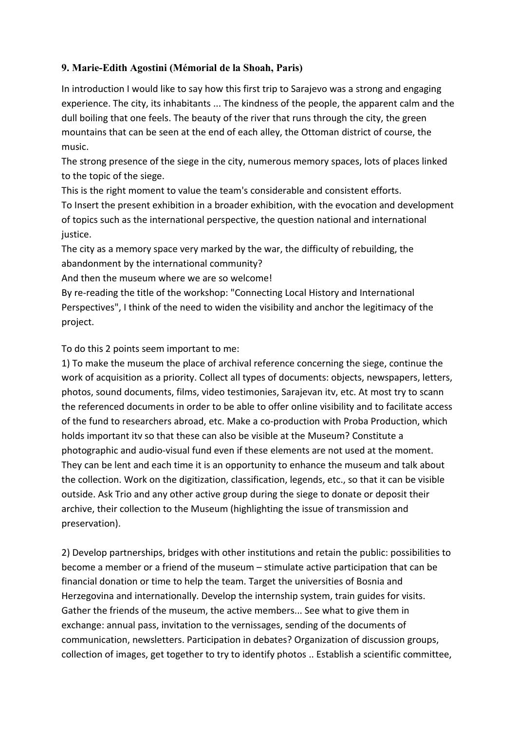# **9. Marie-Edith Agostini (Mémorial de la Shoah, Paris)**

In introduction I would like to say how this first trip to Sarajevo was a strong and engaging experience. The city, its inhabitants ... The kindness of the people, the apparent calm and the dull boiling that one feels. The beauty of the river that runs through the city, the green mountains that can be seen at the end of each alley, the Ottoman district of course, the music.

The strong presence of the siege in the city, numerous memory spaces, lots of places linked to the topic of the siege.

This is the right moment to value the team's considerable and consistent efforts. To Insert the present exhibition in a broader exhibition, with the evocation and development of topics such as the international perspective, the question national and international justice.

The city as a memory space very marked by the war, the difficulty of rebuilding, the abandonment by the international community?

And then the museum where we are so welcome!

By re-reading the title of the workshop: "Connecting Local History and International Perspectives", I think of the need to widen the visibility and anchor the legitimacy of the project.

To do this 2 points seem important to me:

1) To make the museum the place of archival reference concerning the siege, continue the work of acquisition as a priority. Collect all types of documents: objects, newspapers, letters, photos, sound documents, films, video testimonies, Sarajevan itv, etc. At most try to scann the referenced documents in order to be able to offer online visibility and to facilitate access of the fund to researchers abroad, etc. Make a co-production with Proba Production, which holds important itv so that these can also be visible at the Museum? Constitute a photographic and audio-visual fund even if these elements are not used at the moment. They can be lent and each time it is an opportunity to enhance the museum and talk about the collection. Work on the digitization, classification, legends, etc., so that it can be visible outside. Ask Trio and any other active group during the siege to donate or deposit their archive, their collection to the Museum (highlighting the issue of transmission and preservation).

2) Develop partnerships, bridges with other institutions and retain the public: possibilities to become a member or a friend of the museum – stimulate active participation that can be financial donation or time to help the team. Target the universities of Bosnia and Herzegovina and internationally. Develop the internship system, train guides for visits. Gather the friends of the museum, the active members... See what to give them in exchange: annual pass, invitation to the vernissages, sending of the documents of communication, newsletters. Participation in debates? Organization of discussion groups, collection of images, get together to try to identify photos .. Establish a scientific committee,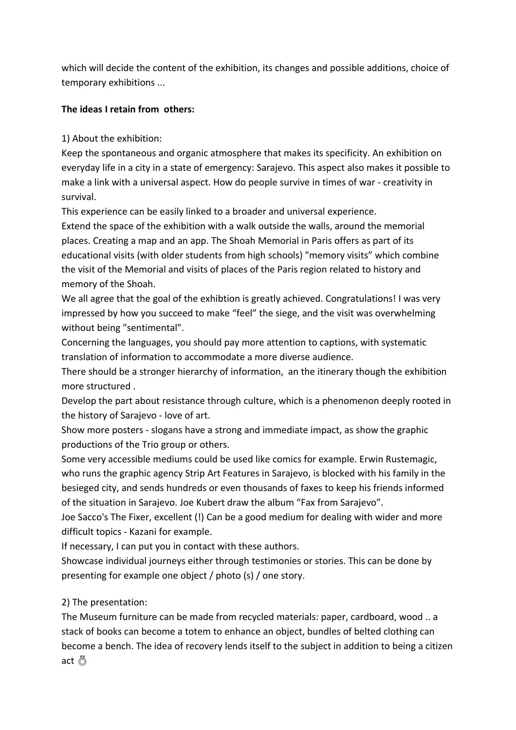which will decide the content of the exhibition, its changes and possible additions, choice of temporary exhibitions ...

### **The ideas I retain from others:**

1) About the exhibition:

Keep the spontaneous and organic atmosphere that makes its specificity. An exhibition on everyday life in a city in a state of emergency: Sarajevo. This aspect also makes it possible to make a link with a universal aspect. How do people survive in times of war - creativity in survival.

This experience can be easily linked to a broader and universal experience.

Extend the space of the exhibition with a walk outside the walls, around the memorial places. Creating a map and an app. The Shoah Memorial in Paris offers as part of its educational visits (with older students from high schools) "memory visits" which combine the visit of the Memorial and visits of places of the Paris region related to history and memory of the Shoah.

We all agree that the goal of the exhibtion is greatly achieved. Congratulations! I was very impressed by how you succeed to make "feel" the siege, and the visit was overwhelming without being "sentimental".

Concerning the languages, you should pay more attention to captions, with systematic translation of information to accommodate a more diverse audience.

There should be a stronger hierarchy of information, an the itinerary though the exhibition more structured .

Develop the part about resistance through culture, which is a phenomenon deeply rooted in the history of Sarajevo - love of art.

Show more posters - slogans have a strong and immediate impact, as show the graphic productions of the Trio group or others.

Some very accessible mediums could be used like comics for example. Erwin Rustemagic, who runs the graphic agency Strip Art Features in Sarajevo, is blocked with his family in the besieged city, and sends hundreds or even thousands of faxes to keep his friends informed of the situation in Sarajevo. Joe Kubert draw the album "Fax from Sarajevo".

Joe Sacco's The Fixer, excellent (!) Can be a good medium for dealing with wider and more difficult topics - Kazani for example.

If necessary, I can put you in contact with these authors.

Showcase individual journeys either through testimonies or stories. This can be done by presenting for example one object / photo (s) / one story.

# 2) The presentation:

The Museum furniture can be made from recycled materials: paper, cardboard, wood .. a stack of books can become a totem to enhance an object, bundles of belted clothing can become a bench. The idea of recovery lends itself to the subject in addition to being a citizen act ⊗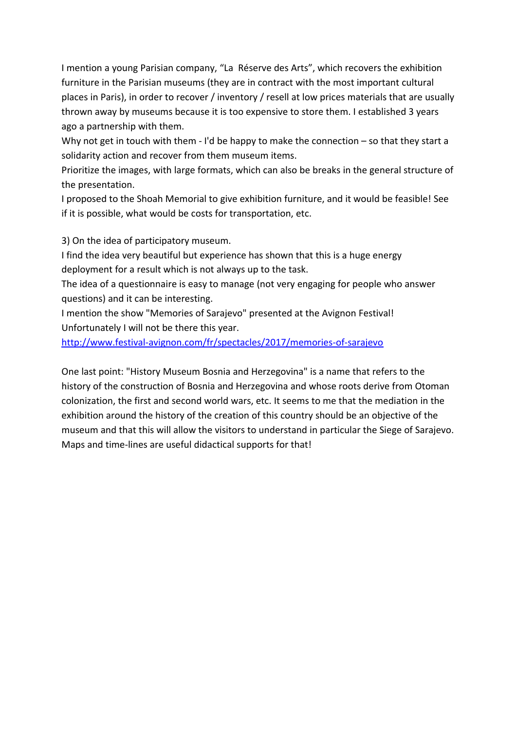I mention a young Parisian company, "La Réserve des Arts", which recovers the exhibition furniture in the Parisian museums (they are in contract with the most important cultural places in Paris), in order to recover / inventory / resell at low prices materials that are usually thrown away by museums because it is too expensive to store them. I established 3 years ago a partnership with them.

Why not get in touch with them  $-$  I'd be happy to make the connection  $-$  so that they start a solidarity action and recover from them museum items.

Prioritize the images, with large formats, which can also be breaks in the general structure of the presentation.

I proposed to the Shoah Memorial to give exhibition furniture, and it would be feasible! See if it is possible, what would be costs for transportation, etc.

3) On the idea of participatory museum.

I find the idea very beautiful but experience has shown that this is a huge energy deployment for a result which is not always up to the task.

The idea of a questionnaire is easy to manage (not very engaging for people who answer questions) and it can be interesting.

I mention the show "Memories of Sarajevo" presented at the Avignon Festival! Unfortunately I will not be there this year.

<http://www.festival-avignon.com/fr/spectacles/2017/memories-of-sarajevo>

One last point: "History Museum Bosnia and Herzegovina" is a name that refers to the history of the construction of Bosnia and Herzegovina and whose roots derive from Otoman colonization, the first and second world wars, etc. It seems to me that the mediation in the exhibition around the history of the creation of this country should be an objective of the museum and that this will allow the visitors to understand in particular the Siege of Sarajevo. Maps and time-lines are useful didactical supports for that!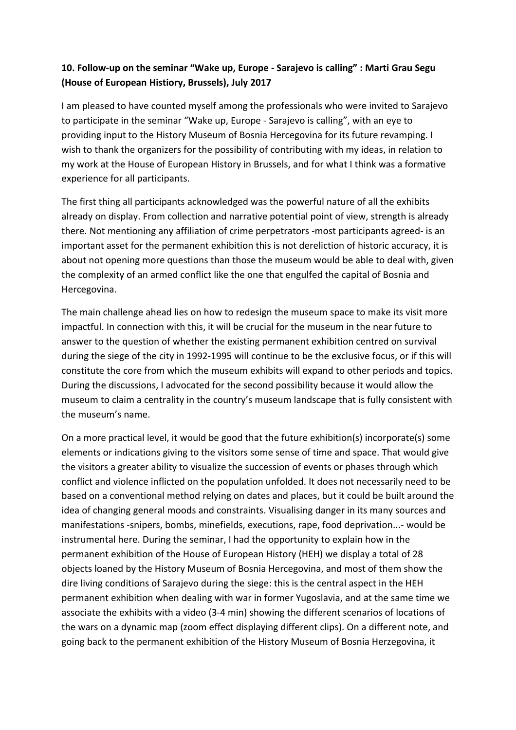# **10. Follow-up on the seminar "Wake up, Europe - Sarajevo is calling" : Marti Grau Segu (House of European Histiory, Brussels), July 2017**

I am pleased to have counted myself among the professionals who were invited to Sarajevo to participate in the seminar "Wake up, Europe - Sarajevo is calling", with an eye to providing input to the History Museum of Bosnia Hercegovina for its future revamping. I wish to thank the organizers for the possibility of contributing with my ideas, in relation to my work at the House of European History in Brussels, and for what I think was a formative experience for all participants.

The first thing all participants acknowledged was the powerful nature of all the exhibits already on display. From collection and narrative potential point of view, strength is already there. Not mentioning any affiliation of crime perpetrators -most participants agreed- is an important asset for the permanent exhibition this is not dereliction of historic accuracy, it is about not opening more questions than those the museum would be able to deal with, given the complexity of an armed conflict like the one that engulfed the capital of Bosnia and Hercegovina.

The main challenge ahead lies on how to redesign the museum space to make its visit more impactful. In connection with this, it will be crucial for the museum in the near future to answer to the question of whether the existing permanent exhibition centred on survival during the siege of the city in 1992-1995 will continue to be the exclusive focus, or if this will constitute the core from which the museum exhibits will expand to other periods and topics. During the discussions, I advocated for the second possibility because it would allow the museum to claim a centrality in the country's museum landscape that is fully consistent with the museum's name.

On a more practical level, it would be good that the future exhibition(s) incorporate(s) some elements or indications giving to the visitors some sense of time and space. That would give the visitors a greater ability to visualize the succession of events or phases through which conflict and violence inflicted on the population unfolded. It does not necessarily need to be based on a conventional method relying on dates and places, but it could be built around the idea of changing general moods and constraints. Visualising danger in its many sources and manifestations -snipers, bombs, minefields, executions, rape, food deprivation...- would be instrumental here. During the seminar, I had the opportunity to explain how in the permanent exhibition of the House of European History (HEH) we display a total of 28 objects loaned by the History Museum of Bosnia Hercegovina, and most of them show the dire living conditions of Sarajevo during the siege: this is the central aspect in the HEH permanent exhibition when dealing with war in former Yugoslavia, and at the same time we associate the exhibits with a video (3-4 min) showing the different scenarios of locations of the wars on a dynamic map (zoom effect displaying different clips). On a different note, and going back to the permanent exhibition of the History Museum of Bosnia Herzegovina, it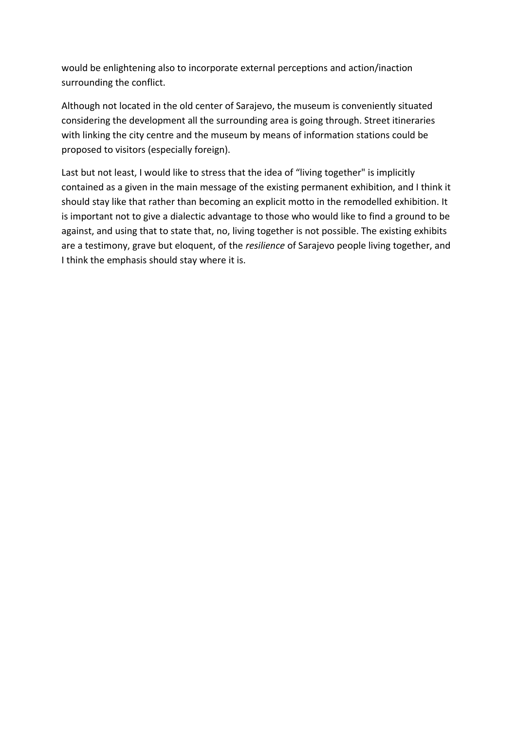would be enlightening also to incorporate external perceptions and action/inaction surrounding the conflict.

Although not located in the old center of Sarajevo, the museum is conveniently situated considering the development all the surrounding area is going through. Street itineraries with linking the city centre and the museum by means of information stations could be proposed to visitors (especially foreign).

Last but not least, I would like to stress that the idea of "living together" is implicitly contained as a given in the main message of the existing permanent exhibition, and I think it should stay like that rather than becoming an explicit motto in the remodelled exhibition. It is important not to give a dialectic advantage to those who would like to find a ground to be against, and using that to state that, no, living together is not possible. The existing exhibits are a testimony, grave but eloquent, of the *resilience* of Sarajevo people living together, and I think the emphasis should stay where it is.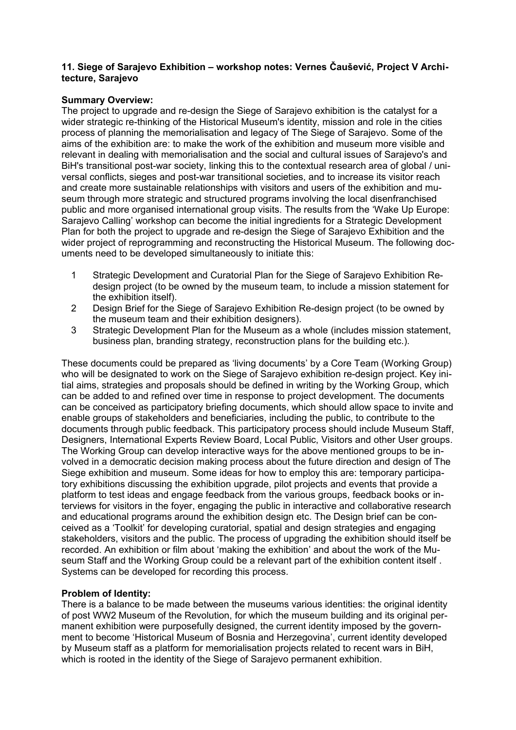#### **11. Siege of Sarajevo Exhibition – workshop notes: Vernes Čaušević, Project V Architecture, Sarajevo**

#### **Summary Overview:**

The project to upgrade and re-design the Siege of Sarajevo exhibition is the catalyst for a wider strategic re-thinking of the Historical Museum's identity, mission and role in the cities process of planning the memorialisation and legacy of The Siege of Sarajevo. Some of the aims of the exhibition are: to make the work of the exhibition and museum more visible and relevant in dealing with memorialisation and the social and cultural issues of Sarajevo's and BiH's transitional post-war society, linking this to the contextual research area of global / universal conflicts, sieges and post-war transitional societies, and to increase its visitor reach and create more sustainable relationships with visitors and users of the exhibition and museum through more strategic and structured programs involving the local disenfranchised public and more organised international group visits. The results from the 'Wake Up Europe: Sarajevo Calling' workshop can become the initial ingredients for a Strategic Development Plan for both the project to upgrade and re-design the Siege of Sarajevo Exhibition and the wider project of reprogramming and reconstructing the Historical Museum. The following documents need to be developed simultaneously to initiate this:

- 1 Strategic Development and Curatorial Plan for the Siege of Sarajevo Exhibition Redesign project (to be owned by the museum team, to include a mission statement for the exhibition itself).
- 2 Design Brief for the Siege of Sarajevo Exhibition Re-design project (to be owned by the museum team and their exhibition designers).
- 3 Strategic Development Plan for the Museum as a whole (includes mission statement, business plan, branding strategy, reconstruction plans for the building etc.).

These documents could be prepared as 'living documents' by a Core Team (Working Group) who will be designated to work on the Siege of Sarajevo exhibition re-design project. Key initial aims, strategies and proposals should be defined in writing by the Working Group, which can be added to and refined over time in response to project development. The documents can be conceived as participatory briefing documents, which should allow space to invite and enable groups of stakeholders and beneficiaries, including the public, to contribute to the documents through public feedback. This participatory process should include Museum Staff, Designers, International Experts Review Board, Local Public, Visitors and other User groups. The Working Group can develop interactive ways for the above mentioned groups to be involved in a democratic decision making process about the future direction and design of The Siege exhibition and museum. Some ideas for how to employ this are: temporary participatory exhibitions discussing the exhibition upgrade, pilot projects and events that provide a platform to test ideas and engage feedback from the various groups, feedback books or interviews for visitors in the foyer, engaging the public in interactive and collaborative research and educational programs around the exhibition design etc. The Design brief can be conceived as a 'Toolkit' for developing curatorial, spatial and design strategies and engaging stakeholders, visitors and the public. The process of upgrading the exhibition should itself be recorded. An exhibition or film about 'making the exhibition' and about the work of the Museum Staff and the Working Group could be a relevant part of the exhibition content itself . Systems can be developed for recording this process.

### **Problem of Identity:**

There is a balance to be made between the museums various identities: the original identity of post WW2 Museum of the Revolution, for which the museum building and its original permanent exhibition were purposefully designed, the current identity imposed by the government to become 'Historical Museum of Bosnia and Herzegovina', current identity developed by Museum staff as a platform for memorialisation projects related to recent wars in BiH, which is rooted in the identity of the Siege of Sarajevo permanent exhibition.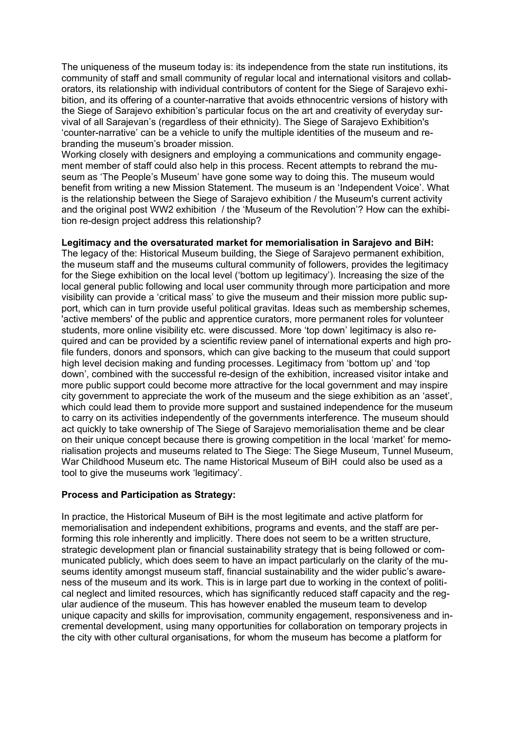The uniqueness of the museum today is: its independence from the state run institutions, its community of staff and small community of regular local and international visitors and collaborators, its relationship with individual contributors of content for the Siege of Sarajevo exhibition, and its offering of a counter-narrative that avoids ethnocentric versions of history with the Siege of Sarajevo exhibition's particular focus on the art and creativity of everyday survival of all Sarajevan's (regardless of their ethnicity). The Siege of Sarajevo Exhibition's 'counter-narrative' can be a vehicle to unify the multiple identities of the museum and rebranding the museum's broader mission.

Working closely with designers and employing a communications and community engagement member of staff could also help in this process. Recent attempts to rebrand the museum as 'The People's Museum' have gone some way to doing this. The museum would benefit from writing a new Mission Statement. The museum is an 'Independent Voice'. What is the relationship between the Siege of Sarajevo exhibition / the Museum's current activity and the original post WW2 exhibition / the 'Museum of the Revolution'? How can the exhibition re-design project address this relationship?

#### **Legitimacy and the oversaturated market for memorialisation in Sarajevo and BiH:**

The legacy of the: Historical Museum building, the Siege of Sarajevo permanent exhibition, the museum staff and the museums cultural community of followers, provides the legitimacy for the Siege exhibition on the local level ('bottom up legitimacy'). Increasing the size of the local general public following and local user community through more participation and more visibility can provide a 'critical mass' to give the museum and their mission more public support, which can in turn provide useful political gravitas. Ideas such as membership schemes, 'active members' of the public and apprentice curators, more permanent roles for volunteer students, more online visibility etc. were discussed. More 'top down' legitimacy is also required and can be provided by a scientific review panel of international experts and high profile funders, donors and sponsors, which can give backing to the museum that could support high level decision making and funding processes. Legitimacy from 'bottom up' and 'top down', combined with the successful re-design of the exhibition, increased visitor intake and more public support could become more attractive for the local government and may inspire city government to appreciate the work of the museum and the siege exhibition as an 'asset', which could lead them to provide more support and sustained independence for the museum to carry on its activities independently of the governments interference. The museum should act quickly to take ownership of The Siege of Sarajevo memorialisation theme and be clear on their unique concept because there is growing competition in the local 'market' for memorialisation projects and museums related to The Siege: The Siege Museum, Tunnel Museum, War Childhood Museum etc. The name Historical Museum of BiH could also be used as a tool to give the museums work 'legitimacy'.

#### **Process and Participation as Strategy:**

In practice, the Historical Museum of BiH is the most legitimate and active platform for memorialisation and independent exhibitions, programs and events, and the staff are performing this role inherently and implicitly. There does not seem to be a written structure, strategic development plan or financial sustainability strategy that is being followed or communicated publicly, which does seem to have an impact particularly on the clarity of the museums identity amongst museum staff, financial sustainability and the wider public's awareness of the museum and its work. This is in large part due to working in the context of political neglect and limited resources, which has significantly reduced staff capacity and the regular audience of the museum. This has however enabled the museum team to develop unique capacity and skills for improvisation, community engagement, responsiveness and incremental development, using many opportunities for collaboration on temporary projects in the city with other cultural organisations, for whom the museum has become a platform for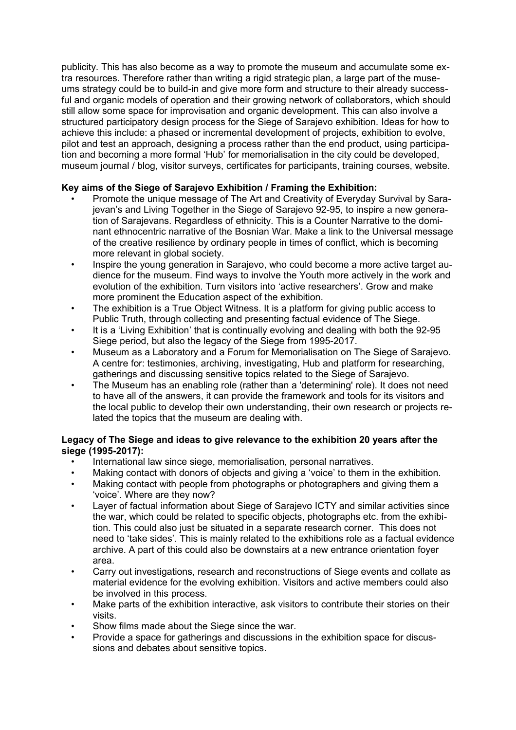publicity. This has also become as a way to promote the museum and accumulate some extra resources. Therefore rather than writing a rigid strategic plan, a large part of the museums strategy could be to build-in and give more form and structure to their already successful and organic models of operation and their growing network of collaborators, which should still allow some space for improvisation and organic development. This can also involve a structured participatory design process for the Siege of Sarajevo exhibition. Ideas for how to achieve this include: a phased or incremental development of projects, exhibition to evolve, pilot and test an approach, designing a process rather than the end product, using participation and becoming a more formal 'Hub' for memorialisation in the city could be developed, museum journal / blog, visitor surveys, certificates for participants, training courses, website.

### **Key aims of the Siege of Sarajevo Exhibition / Framing the Exhibition:**

- Promote the unique message of The Art and Creativity of Everyday Survival by Sarajevan's and Living Together in the Siege of Sarajevo 92-95, to inspire a new generation of Sarajevans. Regardless of ethnicity. This is a Counter Narrative to the dominant ethnocentric narrative of the Bosnian War. Make a link to the Universal message of the creative resilience by ordinary people in times of conflict, which is becoming more relevant in global society.
- Inspire the young generation in Sarajevo, who could become a more active target audience for the museum. Find ways to involve the Youth more actively in the work and evolution of the exhibition. Turn visitors into 'active researchers'. Grow and make more prominent the Education aspect of the exhibition.
- The exhibition is a True Object Witness. It is a platform for giving public access to Public Truth, through collecting and presenting factual evidence of The Siege.
- It is a 'Living Exhibition' that is continually evolving and dealing with both the 92-95 Siege period, but also the legacy of the Siege from 1995-2017.
- Museum as a Laboratory and a Forum for Memorialisation on The Siege of Sarajevo. A centre for: testimonies, archiving, investigating, Hub and platform for researching, gatherings and discussing sensitive topics related to the Siege of Sarajevo.
- The Museum has an enabling role (rather than a 'determining' role). It does not need to have all of the answers, it can provide the framework and tools for its visitors and the local public to develop their own understanding, their own research or projects related the topics that the museum are dealing with.

#### **Legacy of The Siege and ideas to give relevance to the exhibition 20 years after the siege (1995-2017):**

- International law since siege, memorialisation, personal narratives.
- Making contact with donors of objects and giving a 'voice' to them in the exhibition.
- Making contact with people from photographs or photographers and giving them a 'voice'. Where are they now?
- Layer of factual information about Siege of Sarajevo ICTY and similar activities since the war, which could be related to specific objects, photographs etc. from the exhibition. This could also just be situated in a separate research corner. This does not need to 'take sides'. This is mainly related to the exhibitions role as a factual evidence archive. A part of this could also be downstairs at a new entrance orientation foyer area.
- Carry out investigations, research and reconstructions of Siege events and collate as material evidence for the evolving exhibition. Visitors and active members could also be involved in this process.
- Make parts of the exhibition interactive, ask visitors to contribute their stories on their visits.
- Show films made about the Siege since the war.
- Provide a space for gatherings and discussions in the exhibition space for discussions and debates about sensitive topics.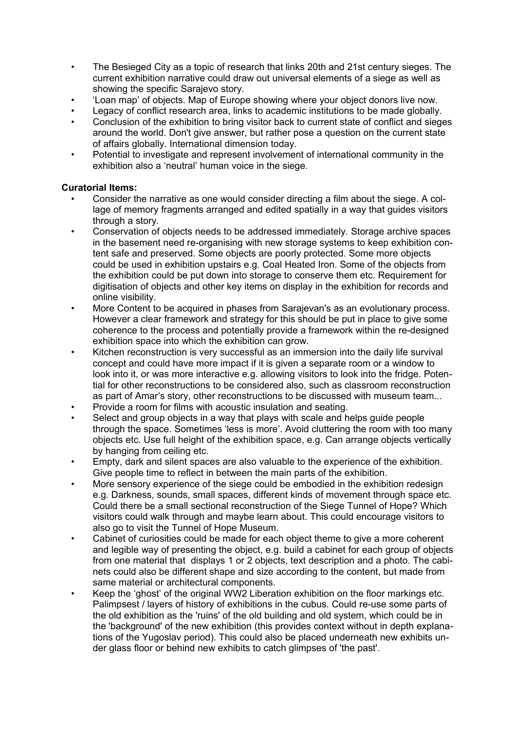- The Besieged City as a topic of research that links 20th and 21st century sieges. The current exhibition narrative could draw out universal elements of a siege as well as showing the specific Sarajevo story.
- 'Loan map' of objects. Map of Europe showing where your object donors live now.
- Legacy of conflict research area, links to academic institutions to be made globally.
- Conclusion of the exhibition to bring visitor back to current state of conflict and sieges around the world. Don't give answer, but rather pose a question on the current state of affairs globally. International dimension today.
- Potential to investigate and represent involvement of international community in the exhibition also a 'neutral' human voice in the siege.

#### **Curatorial Items:**

- Consider the narrative as one would consider directing a film about the siege. A collage of memory fragments arranged and edited spatially in a way that guides visitors through a story.
- Conservation of objects needs to be addressed immediately. Storage archive spaces in the basement need re-organising with new storage systems to keep exhibition content safe and preserved. Some objects are poorly protected. Some more objects could be used in exhibition upstairs e.g. Coal Heated Iron. Some of the objects from the exhibition could be put down into storage to conserve them etc. Requirement for digitisation of objects and other key items on display in the exhibition for records and online visibility.
- More Content to be acquired in phases from Sarajevan's as an evolutionary process. However a clear framework and strategy for this should be put in place to give some coherence to the process and potentially provide a framework within the re-designed exhibition space into which the exhibition can grow.
- Kitchen reconstruction is very successful as an immersion into the daily life survival concept and could have more impact if it is given a separate room or a window to look into it, or was more interactive e.g. allowing visitors to look into the fridge. Potential for other reconstructions to be considered also, such as classroom reconstruction as part of Amar's story, other reconstructions to be discussed with museum team...
- Provide a room for films with acoustic insulation and seating.
- Select and group objects in a way that plays with scale and helps guide people through the space. Sometimes 'less is more'. Avoid cluttering the room with too many objects etc. Use full height of the exhibition space, e.g. Can arrange objects vertically by hanging from ceiling etc.
- Empty, dark and silent spaces are also valuable to the experience of the exhibition. Give people time to reflect in between the main parts of the exhibition.
- More sensory experience of the siege could be embodied in the exhibition redesign e.g. Darkness, sounds, small spaces, different kinds of movement through space etc. Could there be a small sectional reconstruction of the Siege Tunnel of Hope? Which visitors could walk through and maybe learn about. This could encourage visitors to also go to visit the Tunnel of Hope Museum.
- Cabinet of curiosities could be made for each object theme to give a more coherent and legible way of presenting the object, e.g. build a cabinet for each group of objects from one material that displays 1 or 2 objects, text description and a photo. The cabinets could also be different shape and size according to the content, but made from same material or architectural components.
- Keep the 'ghost' of the original WW2 Liberation exhibition on the floor markings etc. Palimpsest / layers of history of exhibitions in the cubus. Could re-use some parts of the old exhibition as the 'ruins' of the old building and old system, which could be in the 'background' of the new exhibition (this provides context without in depth explanations of the Yugoslav period). This could also be placed underneath new exhibits under glass floor or behind new exhibits to catch glimpses of 'the past'.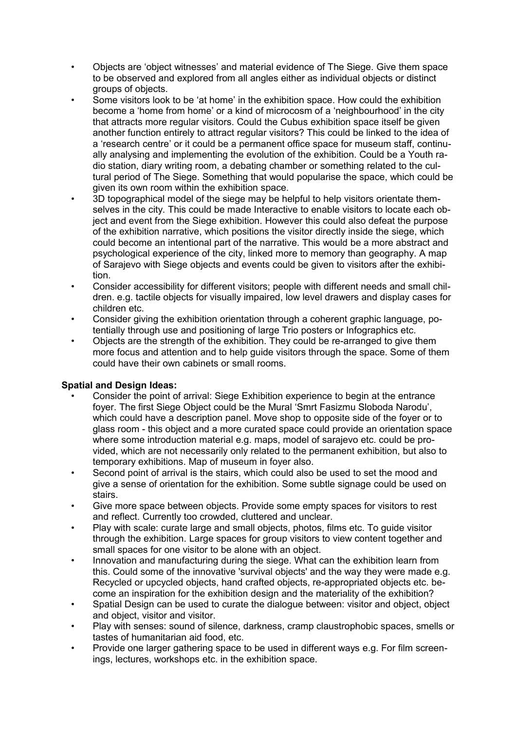- Objects are 'object witnesses' and material evidence of The Siege. Give them space to be observed and explored from all angles either as individual objects or distinct groups of objects.
- Some visitors look to be 'at home' in the exhibition space. How could the exhibition become a 'home from home' or a kind of microcosm of a 'neighbourhood' in the city that attracts more regular visitors. Could the Cubus exhibition space itself be given another function entirely to attract regular visitors? This could be linked to the idea of a 'research centre' or it could be a permanent office space for museum staff, continually analysing and implementing the evolution of the exhibition. Could be a Youth radio station, diary writing room, a debating chamber or something related to the cultural period of The Siege. Something that would popularise the space, which could be given its own room within the exhibition space.
- 3D topographical model of the siege may be helpful to help visitors orientate themselves in the city. This could be made Interactive to enable visitors to locate each object and event from the Siege exhibition. However this could also defeat the purpose of the exhibition narrative, which positions the visitor directly inside the siege, which could become an intentional part of the narrative. This would be a more abstract and psychological experience of the city, linked more to memory than geography. A map of Sarajevo with Siege objects and events could be given to visitors after the exhibition.
- Consider accessibility for different visitors; people with different needs and small children. e.g. tactile objects for visually impaired, low level drawers and display cases for children etc.
- Consider giving the exhibition orientation through a coherent graphic language, potentially through use and positioning of large Trio posters or Infographics etc.
- Objects are the strength of the exhibition. They could be re-arranged to give them more focus and attention and to help guide visitors through the space. Some of them could have their own cabinets or small rooms.

### **Spatial and Design Ideas:**

- Consider the point of arrival: Siege Exhibition experience to begin at the entrance foyer. The first Siege Object could be the Mural 'Smrt Fasizmu Sloboda Narodu', which could have a description panel. Move shop to opposite side of the foyer or to glass room - this object and a more curated space could provide an orientation space where some introduction material e.g. maps, model of sarajevo etc. could be provided, which are not necessarily only related to the permanent exhibition, but also to temporary exhibitions. Map of museum in foyer also.
- Second point of arrival is the stairs, which could also be used to set the mood and give a sense of orientation for the exhibition. Some subtle signage could be used on stairs.
- Give more space between objects. Provide some empty spaces for visitors to rest and reflect. Currently too crowded, cluttered and unclear.
- Play with scale: curate large and small objects, photos, films etc. To guide visitor through the exhibition. Large spaces for group visitors to view content together and small spaces for one visitor to be alone with an object.
- Innovation and manufacturing during the siege. What can the exhibition learn from this. Could some of the innovative 'survival objects' and the way they were made e.g. Recycled or upcycled objects, hand crafted objects, re-appropriated objects etc. become an inspiration for the exhibition design and the materiality of the exhibition?
- Spatial Design can be used to curate the dialogue between: visitor and object, object and object, visitor and visitor.
- Play with senses: sound of silence, darkness, cramp claustrophobic spaces, smells or tastes of humanitarian aid food, etc.
- Provide one larger gathering space to be used in different ways e.g. For film screenings, lectures, workshops etc. in the exhibition space.